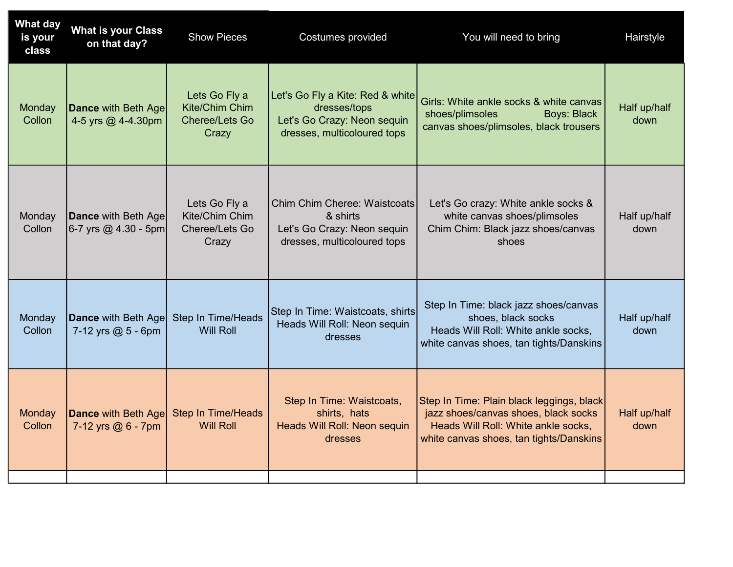| <b>What day</b><br>is your<br>class | <b>What is your Class</b><br>on that day?          | <b>Show Pieces</b>                                                | Costumes provided                                                                                              | You will need to bring                                                                                                                                              | Hairstyle            |
|-------------------------------------|----------------------------------------------------|-------------------------------------------------------------------|----------------------------------------------------------------------------------------------------------------|---------------------------------------------------------------------------------------------------------------------------------------------------------------------|----------------------|
| <b>Monday</b><br>Collon             | <b>Dance with Beth Age</b><br>4-5 yrs @ 4-4.30pm   | Lets Go Fly a<br>Kite/Chim Chim<br><b>Cheree/Lets Go</b><br>Crazy | Let's Go Fly a Kite: Red & white<br>dresses/tops<br>Let's Go Crazy: Neon sequin<br>dresses, multicoloured tops | Girls: White ankle socks & white canvas<br>shoes/plimsoles<br><b>Boys: Black</b><br>canvas shoes/plimsoles, black trousers                                          | Half up/half<br>down |
| Monday<br>Collon                    | Dance with Beth Age<br>6-7 yrs @ 4.30 - 5pm        | Lets Go Fly a<br>Kite/Chim Chim<br>Cheree/Lets Go<br>Crazy        | <b>Chim Chim Cheree: Waistcoats</b><br>& shirts<br>Let's Go Crazy: Neon sequin<br>dresses, multicoloured tops  | Let's Go crazy: White ankle socks &<br>white canvas shoes/plimsoles<br>Chim Chim: Black jazz shoes/canvas<br>shoes                                                  | Half up/half<br>down |
| Monday<br>Collon                    | <b>Dance with Beth Age</b><br>7-12 yrs $@5 - 6$ pm | <b>Step In Time/Heads</b><br>Will Roll                            | Step In Time: Waistcoats, shirts<br>Heads Will Roll: Neon sequin<br>dresses                                    | Step In Time: black jazz shoes/canvas<br>shoes, black socks<br>Heads Will Roll: White ankle socks,<br>white canvas shoes, tan tights/Danskins                       | Half up/half<br>down |
| Monday<br>Collon                    | <b>Dance with Beth Age</b><br>7-12 yrs $@6 - 7$ pm | <b>Step In Time/Heads</b><br><b>Will Roll</b>                     | Step In Time: Waistcoats,<br>shirts, hats<br>Heads Will Roll: Neon sequin<br>dresses                           | Step In Time: Plain black leggings, black<br>jazz shoes/canvas shoes, black socks<br>Heads Will Roll: White ankle socks,<br>white canvas shoes, tan tights/Danskins | Half up/half<br>down |
|                                     |                                                    |                                                                   |                                                                                                                |                                                                                                                                                                     |                      |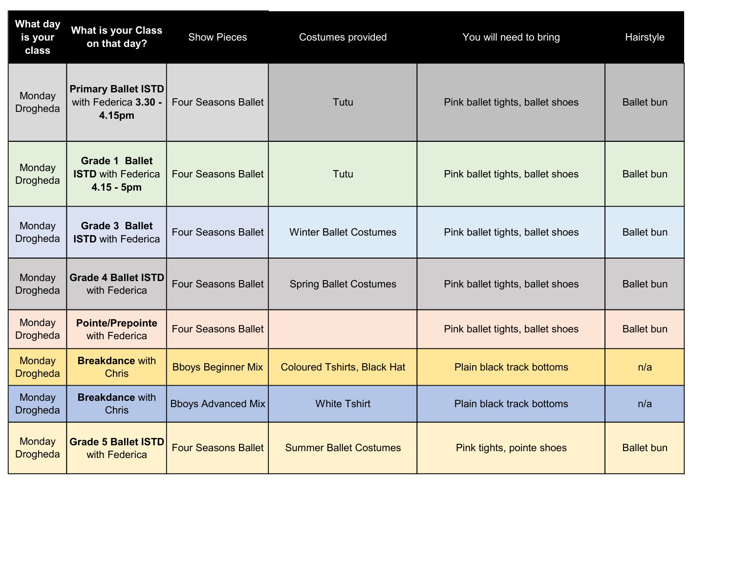| <b>What day</b><br>is your<br>class | <b>What is your Class</b><br>on that day?                          | <b>Show Pieces</b>         | Costumes provided                  | You will need to bring           | Hairstyle         |
|-------------------------------------|--------------------------------------------------------------------|----------------------------|------------------------------------|----------------------------------|-------------------|
| Monday<br>Drogheda                  | <b>Primary Ballet ISTD</b><br>with Federica 3.30 -<br>4.15pm       | <b>Four Seasons Ballet</b> | Tutu                               | Pink ballet tights, ballet shoes | <b>Ballet</b> bun |
| Monday<br>Drogheda                  | <b>Grade 1 Ballet</b><br><b>ISTD with Federica</b><br>$4.15 - 5pm$ | <b>Four Seasons Ballet</b> | Tutu                               | Pink ballet tights, ballet shoes | <b>Ballet bun</b> |
| Monday<br>Drogheda                  | <b>Grade 3 Ballet</b><br><b>ISTD with Federica</b>                 | <b>Four Seasons Ballet</b> | <b>Winter Ballet Costumes</b>      | Pink ballet tights, ballet shoes | <b>Ballet</b> bun |
| Monday<br>Drogheda                  | <b>Grade 4 Ballet ISTD</b><br>with Federica                        | <b>Four Seasons Ballet</b> | <b>Spring Ballet Costumes</b>      | Pink ballet tights, ballet shoes | <b>Ballet bun</b> |
| Monday<br><b>Drogheda</b>           | <b>Pointe/Prepointe</b><br>with Federica                           | <b>Four Seasons Ballet</b> |                                    | Pink ballet tights, ballet shoes | <b>Ballet bun</b> |
| Monday<br><b>Drogheda</b>           | <b>Breakdance with</b><br><b>Chris</b>                             | <b>Bboys Beginner Mix</b>  | <b>Coloured Tshirts, Black Hat</b> | <b>Plain black track bottoms</b> | n/a               |
| Monday<br>Drogheda                  | <b>Breakdance with</b><br><b>Chris</b>                             | <b>Bboys Advanced Mix</b>  | <b>White Tshirt</b>                | <b>Plain black track bottoms</b> | n/a               |
| <b>Monday</b><br><b>Drogheda</b>    | <b>Grade 5 Ballet ISTD</b><br>with Federica                        | <b>Four Seasons Ballet</b> | <b>Summer Ballet Costumes</b>      | Pink tights, pointe shoes        | <b>Ballet bun</b> |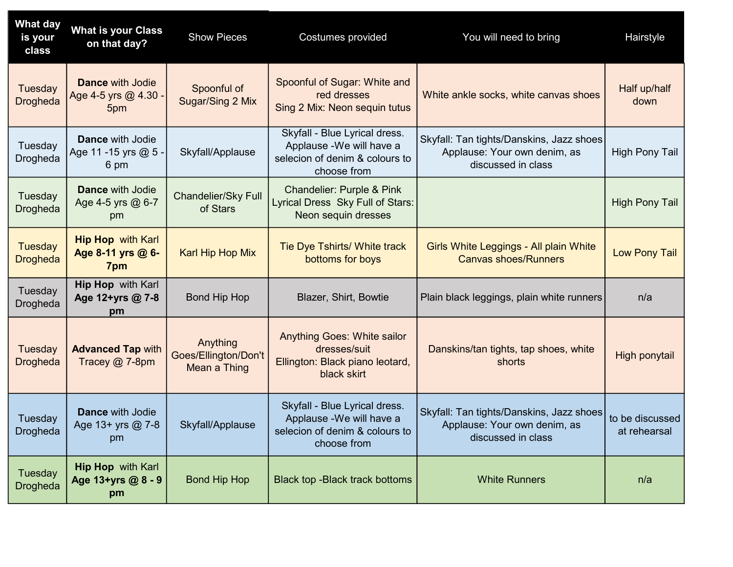| <b>What day</b><br>is your<br>class | <b>What is your Class</b><br>on that day?               | <b>Show Pieces</b>                               | Costumes provided                                                                                           | You will need to bring                                                                         | Hairstyle                       |
|-------------------------------------|---------------------------------------------------------|--------------------------------------------------|-------------------------------------------------------------------------------------------------------------|------------------------------------------------------------------------------------------------|---------------------------------|
| Tuesday<br>Drogheda                 | <b>Dance with Jodie</b><br>Age 4-5 yrs @ 4.30<br>5pm    | Spoonful of<br>Sugar/Sing 2 Mix                  | Spoonful of Sugar: White and<br>red dresses<br>Sing 2 Mix: Neon sequin tutus                                | White ankle socks, white canvas shoes                                                          | Half up/half<br>down            |
| Tuesday<br>Drogheda                 | <b>Dance with Jodie</b><br>Age 11 -15 yrs $@$ 5<br>6 pm | Skyfall/Applause                                 | Skyfall - Blue Lyrical dress.<br>Applause - We will have a<br>selecion of denim & colours to<br>choose from | Skyfall: Tan tights/Danskins, Jazz shoes<br>Applause: Your own denim, as<br>discussed in class | <b>High Pony Tail</b>           |
| Tuesday<br>Drogheda                 | <b>Dance with Jodie</b><br>Age 4-5 yrs @ 6-7<br>pm      | Chandelier/Sky Full<br>of Stars                  | <b>Chandelier: Purple &amp; Pink</b><br>Lyrical Dress Sky Full of Stars:<br>Neon sequin dresses             |                                                                                                | <b>High Pony Tail</b>           |
| <b>Tuesday</b><br><b>Drogheda</b>   | <b>Hip Hop</b> with Karl<br>Age 8-11 yrs @ 6-<br>7pm    | <b>Karl Hip Hop Mix</b>                          | Tie Dye Tshirts/ White track<br>bottoms for boys                                                            | Girls White Leggings - All plain White<br><b>Canvas shoes/Runners</b>                          | Low Pony Tail                   |
| Tuesday<br>Drogheda                 | Hip Hop with Karl<br>Age 12+yrs @ 7-8<br>pm             | <b>Bond Hip Hop</b>                              | Blazer, Shirt, Bowtie                                                                                       | Plain black leggings, plain white runners                                                      | n/a                             |
| Tuesday<br>Drogheda                 | <b>Advanced Tap with</b><br>Tracey @ 7-8pm              | Anything<br>Goes/Ellington/Don't<br>Mean a Thing | <b>Anything Goes: White sailor</b><br>dresses/suit<br>Ellington: Black piano leotard,<br>black skirt        | Danskins/tan tights, tap shoes, white<br>shorts                                                | High ponytail                   |
| Tuesday<br>Drogheda                 | <b>Dance with Jodie</b><br>Age 13+ yrs @ 7-8<br>pm      | Skyfall/Applause                                 | Skyfall - Blue Lyrical dress.<br>Applause - We will have a<br>selecion of denim & colours to<br>choose from | Skyfall: Tan tights/Danskins, Jazz shoes<br>Applause: Your own denim, as<br>discussed in class | to be discussed<br>at rehearsal |
| Tuesday<br>Drogheda                 | <b>Hip Hop</b> with Karl<br>Age 13+yrs @ 8 - 9<br>pm    | <b>Bond Hip Hop</b>                              | Black top - Black track bottoms                                                                             | <b>White Runners</b>                                                                           | n/a                             |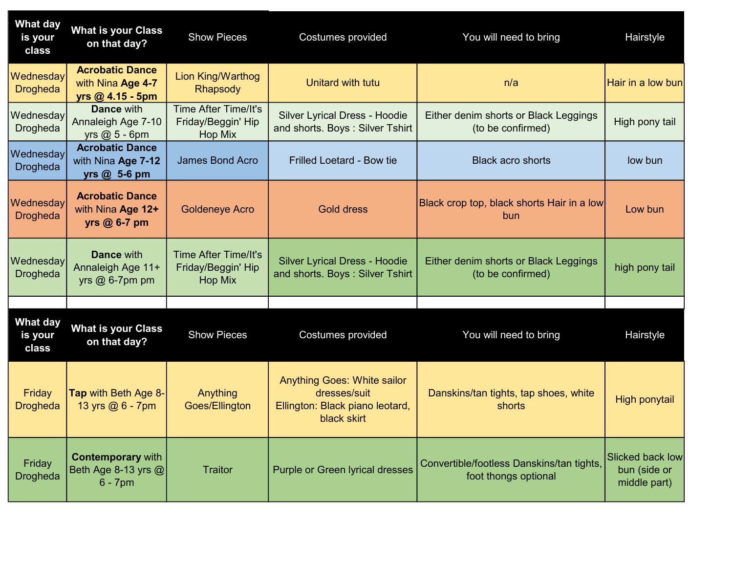| <b>What day</b><br>is your<br>class | <b>What is your Class</b><br>on that day?                         | <b>Show Pieces</b>                                                  | Costumes provided                                                                                    | You will need to bring                                            | Hairstyle                                               |
|-------------------------------------|-------------------------------------------------------------------|---------------------------------------------------------------------|------------------------------------------------------------------------------------------------------|-------------------------------------------------------------------|---------------------------------------------------------|
| Wednesday<br><b>Drogheda</b>        | <b>Acrobatic Dance</b><br>with Nina Age 4-7<br>$yrs @ 4.15 - 5pm$ | Lion King/Warthog<br>Rhapsody                                       | Unitard with tutu                                                                                    | n/a                                                               | Hair in a low bun                                       |
| Wednesday<br><b>Drogheda</b>        | <b>Dance with</b><br>Annaleigh Age 7-10<br>yrs $@$ 5 - 6pm        | <b>Time After Time/It's</b><br>Friday/Beggin' Hip<br>Hop Mix        | <b>Silver Lyrical Dress - Hoodie</b><br>and shorts. Boys: Silver Tshirt                              | Either denim shorts or Black Leggings<br>(to be confirmed)        | High pony tail                                          |
| Wednesday<br>Drogheda               | <b>Acrobatic Dance</b><br>with Nina Age 7-12<br>yrs @ 5-6 pm      | <b>James Bond Acro</b>                                              | <b>Frilled Loetard - Bow tie</b>                                                                     | <b>Black acro shorts</b>                                          | low bun                                                 |
| Wednesday<br><b>Drogheda</b>        | <b>Acrobatic Dance</b><br>with Nina Age 12+<br>yrs @ 6-7 pm       | <b>Goldeneye Acro</b>                                               | <b>Gold dress</b>                                                                                    | Black crop top, black shorts Hair in a low<br>bun                 | Low bun                                                 |
| Wednesday<br><b>Drogheda</b>        | <b>Dance with</b><br>Annaleigh Age 11+<br>yrs $@6-7$ pm pm        | <b>Time After Time/It's</b><br>Friday/Beggin' Hip<br><b>Hop Mix</b> | <b>Silver Lyrical Dress - Hoodie</b><br>and shorts. Boys: Silver Tshirt                              | Either denim shorts or Black Leggings<br>(to be confirmed)        | high pony tail                                          |
|                                     |                                                                   |                                                                     |                                                                                                      |                                                                   |                                                         |
| <b>What day</b><br>is your<br>class | <b>What is your Class</b><br>on that day?                         | <b>Show Pieces</b>                                                  | Costumes provided                                                                                    | You will need to bring                                            | Hairstyle                                               |
| Friday<br><b>Drogheda</b>           | Tap with Beth Age 8-<br>13 yrs @ 6 - 7pm                          | Anything<br>Goes/Ellington                                          | <b>Anything Goes: White sailor</b><br>dresses/suit<br>Ellington: Black piano leotard,<br>black skirt | Danskins/tan tights, tap shoes, white<br>shorts                   | <b>High ponytail</b>                                    |
| Friday<br><b>Drogheda</b>           | <b>Contemporary with</b><br>Beth Age 8-13 yrs $@ $<br>$6 - 7$ pm  | <b>Traitor</b>                                                      | Purple or Green lyrical dresses                                                                      | Convertible/footless Danskins/tan tights,<br>foot thongs optional | <b>Slicked back low</b><br>bun (side or<br>middle part) |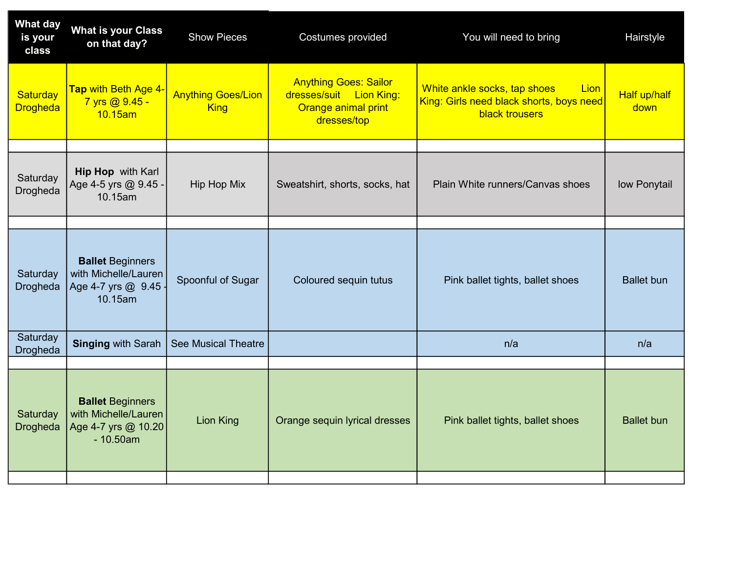| <b>What day</b><br>is your<br>class | <b>What is your Class</b><br>on that day?                                            | <b>Show Pieces</b>                       | Costumes provided                                                                             | You will need to bring                                                                                    | Hairstyle            |
|-------------------------------------|--------------------------------------------------------------------------------------|------------------------------------------|-----------------------------------------------------------------------------------------------|-----------------------------------------------------------------------------------------------------------|----------------------|
| Saturday<br><b>Drogheda</b>         | Tap with Beth Age 4-<br>7 yrs @ 9.45 -<br>10.15am                                    | <b>Anything Goes/Lion</b><br><b>King</b> | <b>Anything Goes: Sailor</b><br>dresses/suit Lion King:<br>Orange animal print<br>dresses/top | White ankle socks, tap shoes<br>Lion<br>King: Girls need black shorts, boys need<br><b>black trousers</b> | Half up/half<br>down |
| Saturday<br>Drogheda                | Hip Hop with Karl<br>Age 4-5 yrs @ 9.45 -<br>10.15am                                 | Hip Hop Mix                              | Sweatshirt, shorts, socks, hat                                                                | Plain White runners/Canvas shoes                                                                          | low Ponytail         |
|                                     |                                                                                      |                                          |                                                                                               |                                                                                                           |                      |
| Saturday<br><b>Drogheda</b>         | <b>Ballet Beginners</b><br>with Michelle/Lauren<br>Age 4-7 yrs @ 9.45 -<br>10.15am   | Spoonful of Sugar                        | Coloured sequin tutus                                                                         | Pink ballet tights, ballet shoes                                                                          | <b>Ballet</b> bun    |
| Saturday<br>Drogheda                | <b>Singing with Sarah</b>                                                            | <b>See Musical Theatre</b>               |                                                                                               | n/a                                                                                                       | n/a                  |
|                                     |                                                                                      |                                          |                                                                                               |                                                                                                           |                      |
| Saturday<br><b>Drogheda</b>         | <b>Ballet Beginners</b><br>with Michelle/Lauren<br>Age 4-7 yrs @ 10.20<br>$-10.50am$ | <b>Lion King</b>                         | Orange sequin lyrical dresses                                                                 | Pink ballet tights, ballet shoes                                                                          | <b>Ballet bun</b>    |
|                                     |                                                                                      |                                          |                                                                                               |                                                                                                           |                      |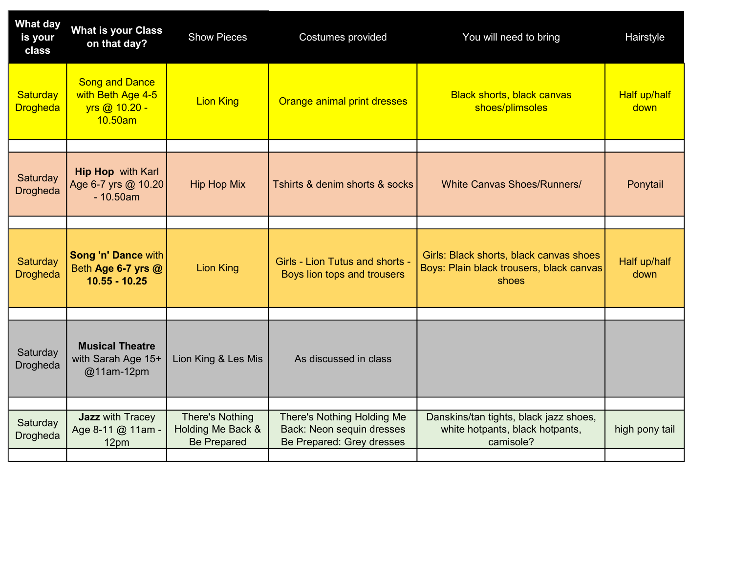| What day<br>is your<br>class | <b>What is your Class</b><br>on that day?                              | <b>Show Pieces</b>                                                | Costumes provided                                                                                  | You will need to bring                                                                       | Hairstyle                   |
|------------------------------|------------------------------------------------------------------------|-------------------------------------------------------------------|----------------------------------------------------------------------------------------------------|----------------------------------------------------------------------------------------------|-----------------------------|
| Saturday<br><b>Drogheda</b>  | <b>Song and Dance</b><br>with Beth Age 4-5<br>yrs @ 10.20 -<br>10.50am | <b>Lion King</b>                                                  | Orange animal print dresses                                                                        | <b>Black shorts, black canvas</b><br>shoes/plimsoles                                         | <b>Half up/half</b><br>down |
|                              |                                                                        |                                                                   |                                                                                                    |                                                                                              |                             |
| Saturday<br><b>Drogheda</b>  | <b>Hip Hop</b> with Karl<br>Age 6-7 yrs @ 10.20<br>$-10.50am$          | <b>Hip Hop Mix</b>                                                | Tshirts & denim shorts & socks                                                                     | <b>White Canvas Shoes/Runners/</b>                                                           | Ponytail                    |
|                              |                                                                        |                                                                   |                                                                                                    |                                                                                              |                             |
| Saturday<br><b>Drogheda</b>  | <b>Song 'n' Dance with</b><br>Beth Age 6-7 yrs @<br>$10.55 - 10.25$    | <b>Lion King</b>                                                  | Girls - Lion Tutus and shorts -<br>Boys lion tops and trousers                                     | Girls: Black shorts, black canvas shoes<br>Boys: Plain black trousers, black canvas<br>shoes | Half up/half<br>down        |
|                              |                                                                        |                                                                   |                                                                                                    |                                                                                              |                             |
| Saturday<br>Drogheda         | <b>Musical Theatre</b><br>with Sarah Age 15+<br>@11am-12pm             | Lion King & Les Mis                                               | As discussed in class                                                                              |                                                                                              |                             |
|                              |                                                                        |                                                                   |                                                                                                    |                                                                                              |                             |
| Saturday<br>Drogheda         | <b>Jazz</b> with Tracey<br>Age 8-11 @ 11am -<br>12pm                   | <b>There's Nothing</b><br>Holding Me Back &<br><b>Be Prepared</b> | There's Nothing Holding Me<br><b>Back: Neon sequin dresses</b><br><b>Be Prepared: Grey dresses</b> | Danskins/tan tights, black jazz shoes,<br>white hotpants, black hotpants,<br>camisole?       | high pony tail              |
|                              |                                                                        |                                                                   |                                                                                                    |                                                                                              |                             |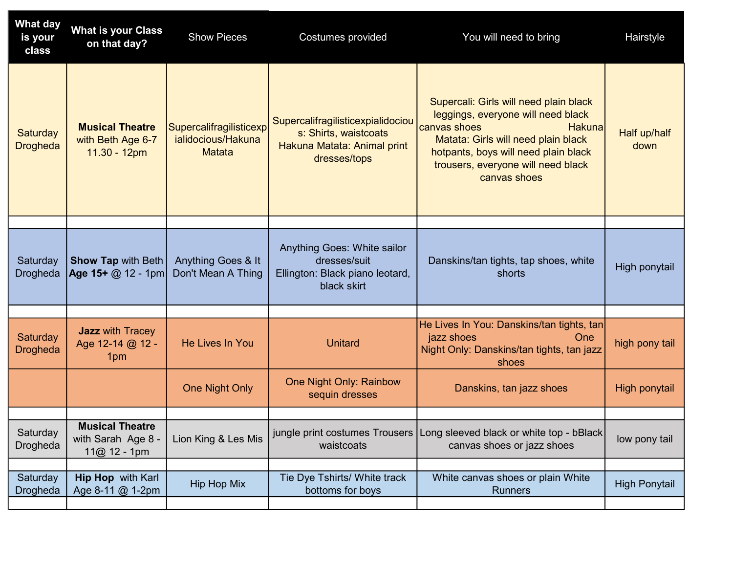| <b>What day</b><br>is your<br>class | <b>What is your Class</b><br>on that day?                     | <b>Show Pieces</b>                                             | Costumes provided                                                                                         | You will need to bring                                                                                                                                                                                                                             | Hairstyle            |
|-------------------------------------|---------------------------------------------------------------|----------------------------------------------------------------|-----------------------------------------------------------------------------------------------------------|----------------------------------------------------------------------------------------------------------------------------------------------------------------------------------------------------------------------------------------------------|----------------------|
| <b>Saturday</b><br><b>Drogheda</b>  | <b>Musical Theatre</b><br>with Beth Age 6-7<br>11.30 - 12pm   | Supercalifragilisticexp<br>ialidocious/Hakuna<br><b>Matata</b> | Supercalifragilisticexpialidociou<br>s: Shirts, waistcoats<br>Hakuna Matata: Animal print<br>dresses/tops | Supercali: Girls will need plain black<br>leggings, everyone will need black<br>canvas shoes<br><b>Hakuna</b><br>Matata: Girls will need plain black<br>hotpants, boys will need plain black<br>trousers, everyone will need black<br>canvas shoes | Half up/half<br>down |
|                                     |                                                               |                                                                |                                                                                                           |                                                                                                                                                                                                                                                    |                      |
| Saturday<br><b>Drogheda</b>         | <b>Show Tap with Beth</b><br>Age 15+ $@$ 12 - 1pm             | Anything Goes & It<br>Don't Mean A Thing                       | Anything Goes: White sailor<br>dresses/suit<br>Ellington: Black piano leotard,<br>black skirt             | Danskins/tan tights, tap shoes, white<br>shorts                                                                                                                                                                                                    | High ponytail        |
|                                     |                                                               |                                                                |                                                                                                           |                                                                                                                                                                                                                                                    |                      |
| Saturday<br><b>Drogheda</b>         | <b>Jazz</b> with Tracey<br>Age 12-14 @ 12 -<br>1pm            | He Lives In You                                                | <b>Unitard</b>                                                                                            | He Lives In You: Danskins/tan tights, tan<br>jazz shoes<br>One<br>Night Only: Danskins/tan tights, tan jazz<br>shoes                                                                                                                               | high pony tail       |
|                                     |                                                               | <b>One Night Only</b>                                          | One Night Only: Rainbow<br>sequin dresses                                                                 | Danskins, tan jazz shoes                                                                                                                                                                                                                           | High ponytail        |
|                                     |                                                               |                                                                |                                                                                                           |                                                                                                                                                                                                                                                    |                      |
| Saturday<br>Drogheda                | <b>Musical Theatre</b><br>with Sarah Age 8 -<br>$11@12 - 1pm$ | Lion King & Les Mis                                            | waistcoats                                                                                                | jungle print costumes Trousers   Long sleeved black or white top - bBlack  <br>canvas shoes or jazz shoes                                                                                                                                          | low pony tail        |
|                                     |                                                               |                                                                |                                                                                                           |                                                                                                                                                                                                                                                    |                      |
| Saturday<br>Drogheda                | <b>Hip Hop</b> with Karl<br>Age 8-11 @ 1-2pm                  | <b>Hip Hop Mix</b>                                             | Tie Dye Tshirts/ White track<br>bottoms for boys                                                          | White canvas shoes or plain White<br><b>Runners</b>                                                                                                                                                                                                | <b>High Ponytail</b> |
|                                     |                                                               |                                                                |                                                                                                           |                                                                                                                                                                                                                                                    |                      |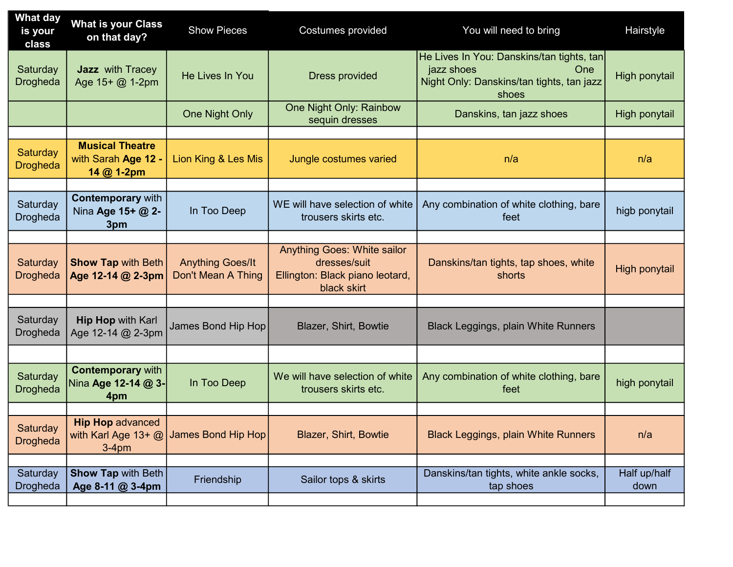| What day<br>is your<br>class | <b>What is your Class</b><br>on that day?                   | <b>Show Pieces</b>                            | Costumes provided                                                                                    | You will need to bring                                                                                               | Hairstyle            |
|------------------------------|-------------------------------------------------------------|-----------------------------------------------|------------------------------------------------------------------------------------------------------|----------------------------------------------------------------------------------------------------------------------|----------------------|
| Saturday<br><b>Drogheda</b>  | <b>Jazz</b> with Tracey<br>Age 15+ @ 1-2pm                  | He Lives In You                               | <b>Dress provided</b>                                                                                | He Lives In You: Danskins/tan tights, tan<br>jazz shoes<br>One<br>Night Only: Danskins/tan tights, tan jazz<br>shoes | High ponytail        |
|                              |                                                             | <b>One Night Only</b>                         | One Night Only: Rainbow<br>sequin dresses                                                            | Danskins, tan jazz shoes                                                                                             | High ponytail        |
|                              |                                                             |                                               |                                                                                                      |                                                                                                                      |                      |
| Saturday<br><b>Drogheda</b>  | <b>Musical Theatre</b><br>with Sarah Age 12 -<br>14 @ 1-2pm | Lion King & Les Mis                           | Jungle costumes varied                                                                               | n/a                                                                                                                  | n/a                  |
|                              |                                                             |                                               |                                                                                                      |                                                                                                                      |                      |
| Saturday<br>Drogheda         | <b>Contemporary with</b><br>Nina Age 15+ @ 2-<br>3pm        | In Too Deep                                   | WE will have selection of white<br>trousers skirts etc.                                              | Any combination of white clothing, bare<br>feet                                                                      | higb ponytail        |
|                              |                                                             |                                               |                                                                                                      |                                                                                                                      |                      |
| Saturday<br><b>Drogheda</b>  | <b>Show Tap with Beth</b><br>Age 12-14 @ 2-3pm              | <b>Anything Goes/It</b><br>Don't Mean A Thing | <b>Anything Goes: White sailor</b><br>dresses/suit<br>Ellington: Black piano leotard,<br>black skirt | Danskins/tan tights, tap shoes, white<br>shorts                                                                      | High ponytail        |
|                              |                                                             |                                               |                                                                                                      |                                                                                                                      |                      |
| Saturday<br><b>Drogheda</b>  | <b>Hip Hop with Karl</b><br>Age 12-14 @ 2-3pm               | James Bond Hip Hop                            | Blazer, Shirt, Bowtie                                                                                | <b>Black Leggings, plain White Runners</b>                                                                           |                      |
|                              |                                                             |                                               |                                                                                                      |                                                                                                                      |                      |
| Saturday<br><b>Drogheda</b>  | <b>Contemporary with</b><br>Nina Age 12-14 @ 3-<br>4pm      | In Too Deep                                   | We will have selection of white<br>trousers skirts etc.                                              | Any combination of white clothing, bare<br>feet                                                                      | high ponytail        |
|                              |                                                             |                                               |                                                                                                      |                                                                                                                      |                      |
| Saturday<br><b>Drogheda</b>  | <b>Hip Hop advanced</b><br>$3-4pm$                          | with Karl Age 13+ @ James Bond Hip Hop        | <b>Blazer, Shirt, Bowtie</b>                                                                         | <b>Black Leggings, plain White Runners</b>                                                                           | n/a                  |
|                              |                                                             |                                               |                                                                                                      |                                                                                                                      |                      |
| Saturday<br><b>Drogheda</b>  | <b>Show Tap with Beth</b><br>Age 8-11 @ 3-4pm               | Friendship                                    | Sailor tops & skirts                                                                                 | Danskins/tan tights, white ankle socks,<br>tap shoes                                                                 | Half up/half<br>down |
|                              |                                                             |                                               |                                                                                                      |                                                                                                                      |                      |